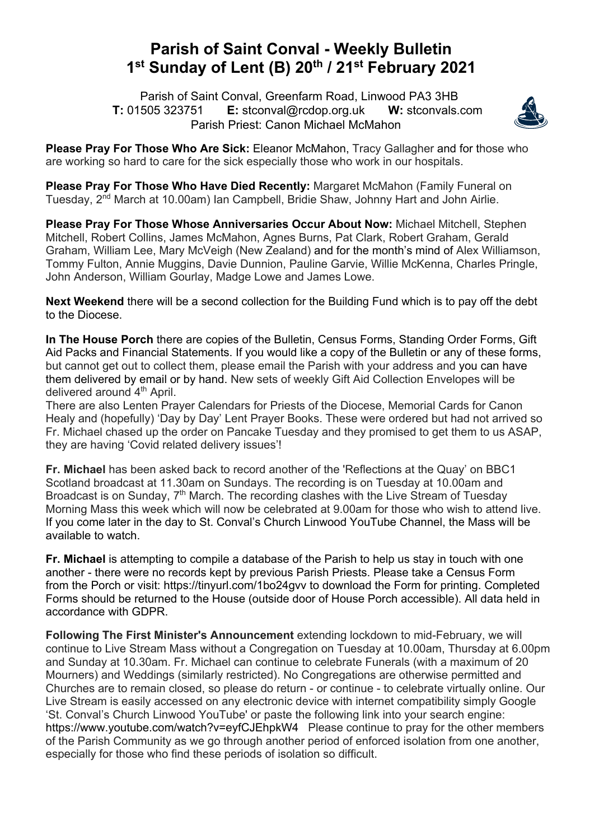## **Parish of Saint Conval - Weekly Bulletin 1st Sunday of Lent (B) 20th / 21st February 2021**

 Parish of Saint Conval, Greenfarm Road, Linwood PA3 3HB **T:** 01505 323751 **E:** stconval@rcdop.org.uk **W:** stconvals.com Parish Priest: Canon Michael McMahon



**Please Pray For Those Who Are Sick:** Eleanor McMahon, Tracy Gallagher and for those who are working so hard to care for the sick especially those who work in our hospitals.

**Please Pray For Those Who Have Died Recently:** Margaret McMahon (Family Funeral on Tuesday, 2nd March at 10.00am) Ian Campbell, Bridie Shaw, Johnny Hart and John Airlie.

**Please Pray For Those Whose Anniversaries Occur About Now:** Michael Mitchell, Stephen Mitchell, Robert Collins, James McMahon, Agnes Burns, Pat Clark, Robert Graham, Gerald Graham, William Lee, Mary McVeigh (New Zealand) and for the month's mind of Alex Williamson, Tommy Fulton, Annie Muggins, Davie Dunnion, Pauline Garvie, Willie McKenna, Charles Pringle, John Anderson, William Gourlay, Madge Lowe and James Lowe.

**Next Weekend** there will be a second collection for the Building Fund which is to pay off the debt to the Diocese.

**In The House Porch** there are copies of the Bulletin, Census Forms, Standing Order Forms, Gift Aid Packs and Financial Statements. If you would like a copy of the Bulletin or any of these forms, but cannot get out to collect them, please email the Parish with your address and you can have them delivered by email or by hand. New sets of weekly Gift Aid Collection Envelopes will be delivered around 4<sup>th</sup> April.

There are also Lenten Prayer Calendars for Priests of the Diocese, Memorial Cards for Canon Healy and (hopefully) 'Day by Day' Lent Prayer Books. These were ordered but had not arrived so Fr. Michael chased up the order on Pancake Tuesday and they promised to get them to us ASAP, they are having 'Covid related delivery issues'!

**Fr. Michael** has been asked back to record another of the 'Reflections at the Quay' on BBC1 Scotland broadcast at 11.30am on Sundays. The recording is on Tuesday at 10.00am and Broadcast is on Sunday, 7<sup>th</sup> March. The recording clashes with the Live Stream of Tuesdav Morning Mass this week which will now be celebrated at 9.00am for those who wish to attend live. If you come later in the day to St. Conval's Church Linwood YouTube Channel, the Mass will be available to watch.

**Fr. Michael** is attempting to compile a database of the Parish to help us stay in touch with one another - there were no records kept by previous Parish Priests. Please take a Census Form from the Porch or visit: https://tinyurl.com/1bo24gvv to download the Form for printing. Completed Forms should be returned to the House (outside door of House Porch accessible). All data held in accordance with GDPR.

**Following The First Minister's Announcement** extending lockdown to mid-February, we will continue to Live Stream Mass without a Congregation on Tuesday at 10.00am, Thursday at 6.00pm and Sunday at 10.30am. Fr. Michael can continue to celebrate Funerals (with a maximum of 20 Mourners) and Weddings (similarly restricted). No Congregations are otherwise permitted and Churches are to remain closed, so please do return - or continue - to celebrate virtually online. Our Live Stream is easily accessed on any electronic device with internet compatibility simply Google 'St. Conval's Church Linwood YouTube' or paste the following link into your search engine: https://www.youtube.com/watch?v=eyfCJEhpkW4 Please continue to pray for the other members of the Parish Community as we go through another period of enforced isolation from one another, especially for those who find these periods of isolation so difficult.